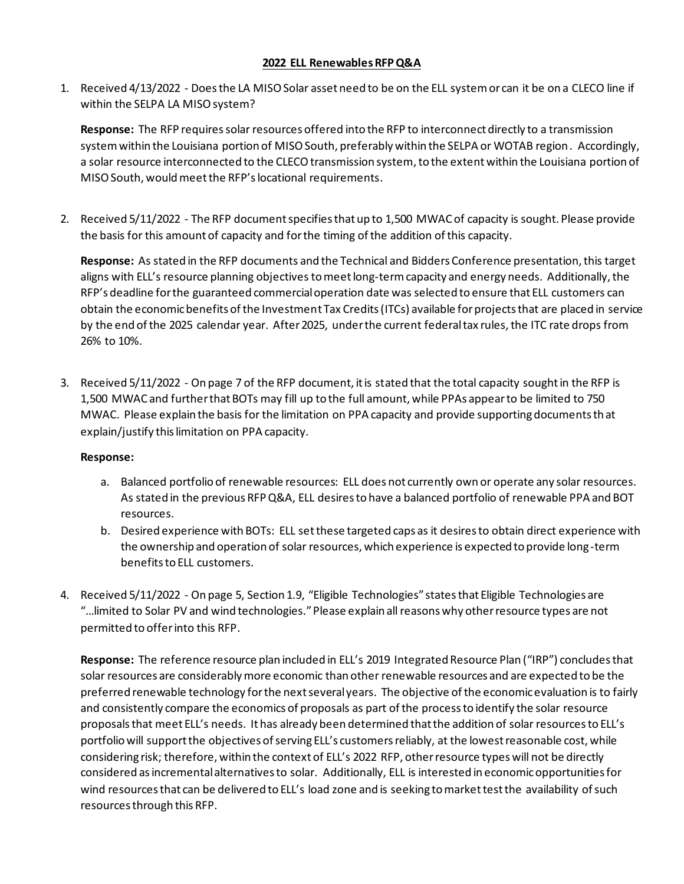## **2022 ELL RenewablesRFPQ&A**

1. Received 4/13/2022 - Does the LA MISO Solar asset need to be on the ELL system or can it be on a CLECO line if within the SELPA LA MISO system?

**Response:** The RFP requires solar resources offered into the RFP to interconnect directly to a transmission system within the Louisiana portion of MISO South, preferably within the SELPA or WOTAB region. Accordingly, a solar resource interconnected to the CLECO transmission system, to the extent within the Louisiana portion of MISO South, would meet the RFP's locational requirements.

2. Received 5/11/2022 - The RFP document specifies that up to 1,500 MWAC of capacity is sought. Please provide the basis for this amount of capacity and for the timing of the addition of this capacity.

**Response:** As stated in the RFP documents and the Technical and Bidders Conference presentation, this target aligns with ELL's resource planning objectives to meet long-term capacity and energy needs. Additionally, the RFP's deadline for the guaranteed commercial operation date was selected to ensure that ELL customers can obtain the economic benefits of the Investment Tax Credits (ITCs) available for projects that are placed in service by the end of the 2025 calendar year. After 2025, under the current federal tax rules, the ITC rate drops from 26% to 10%.

3. Received 5/11/2022 - On page 7 of the RFP document, it is stated that the total capacity sought in the RFP is 1,500 MWAC and further that BOTs may fill up to the full amount, while PPAs appear to be limited to 750 MWAC. Please explain the basis for the limitation on PPA capacity and provide supporting documents that explain/justify this limitation on PPA capacity.

## **Response:**

- a. Balanced portfolio of renewable resources: ELL does not currently own or operate any solar resources. As stated in the previous RFP Q&A, ELL desires to have a balanced portfolio of renewable PPA and BOT resources.
- b. Desired experience with BOTs: ELL set these targeted caps as it desires to obtain direct experience with the ownership and operation of solar resources, which experience is expected to provide long-term benefits to ELL customers.
- 4. Received 5/11/2022 On page 5, Section 1.9, "Eligible Technologies" states that Eligible Technologies are "…limited to Solar PV and wind technologies." Please explain all reasons why other resource types are not permitted to offer into this RFP.

**Response:** The reference resource plan included in ELL's 2019 Integrated Resource Plan ("IRP") concludes that solar resources are considerably more economic than other renewable resources and are expected to be the preferred renewable technology for the next several years. The objective of the economic evaluation is to fairly and consistently compare the economics of proposals as part of the processto identify the solar resource proposals that meet ELL's needs. It has already been determined that the addition of solar resources to ELL's portfolio will support the objectives of serving ELL's customers reliably, at the lowest reasonable cost, while considering risk; therefore, within the context of ELL's 2022 RFP, other resource types will not be directly considered as incremental alternatives to solar. Additionally, ELL is interested in economic opportunities for wind resources that can be delivered to ELL's load zone and is seeking to market test the availability of such resources through this RFP.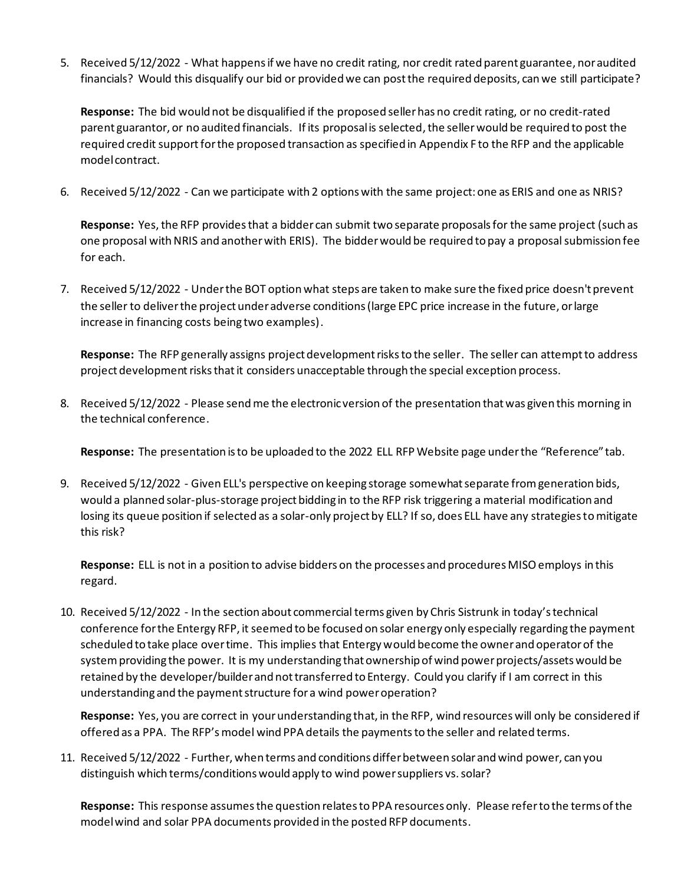5. Received 5/12/2022 - What happens if we have no credit rating, nor credit rated parent guarantee, nor audited financials? Would this disqualify our bid or provided we can post the required deposits, can we still participate?

**Response:** The bid would not be disqualified if the proposed seller has no credit rating, or no credit-rated parent guarantor, or no audited financials. If its proposal is selected, the seller would be required to post the required credit support for the proposed transaction as specified in Appendix F to the RFP and the applicable model contract.

6. Received 5/12/2022 - Can we participate with 2 options with the same project: one as ERIS and one as NRIS?

**Response:** Yes, the RFP provides that a bidder can submit two separate proposals for the same project (such as one proposal with NRIS and another with ERIS). The bidder would be required to pay a proposal submission fee for each.

7. Received 5/12/2022 - Under the BOT option what steps are taken to make sure the fixed price doesn't prevent the seller to deliver the project under adverse conditions (large EPC price increase in the future, or large increase in financing costs being two examples).

**Response:** The RFP generally assigns project development risks to the seller. The seller can attempt to address project development risks that it considers unacceptable through the special exception process.

8. Received 5/12/2022 - Please send me the electronic version of the presentation that was given this morning in the technical conference.

**Response:** The presentation is to be uploaded to the 2022 ELL RFP Website page under the "Reference" tab.

9. Received 5/12/2022 - Given ELL's perspective on keeping storage somewhat separate from generation bids, would a planned solar-plus-storage project bidding in to the RFP risk triggering a material modification and losing its queue position if selected as a solar-only project by ELL? If so, does ELL have any strategies to mitigate this risk?

**Response:** ELL is not in a position to advise bidders on the processes and procedures MISO employs in this regard.

10. Received 5/12/2022 - In the section about commercial terms given by Chris Sistrunk in today's technical conference for the Entergy RFP, it seemed to be focused on solar energy only especially regarding the payment scheduled to take place over time. This implies that Entergy would become the owner and operator of the system providing the power. It is my understanding that ownership of wind power projects/assets would be retained by the developer/builder and not transferred to Entergy. Could you clarify if I am correct in this understanding and the payment structure for a wind power operation?

**Response:** Yes, you are correct in your understanding that, in the RFP, wind resources will only be considered if offered as a PPA. The RFP's model wind PPA details the payments to the seller and related terms.

11. Received 5/12/2022 - Further, when terms and conditions differ between solar and wind power, can you distinguish which terms/conditions would apply to wind power suppliers vs. solar?

**Response:** This response assumes the question relates to PPA resources only. Please refer to the terms of the model wind and solar PPA documents provided in the posted RFP documents.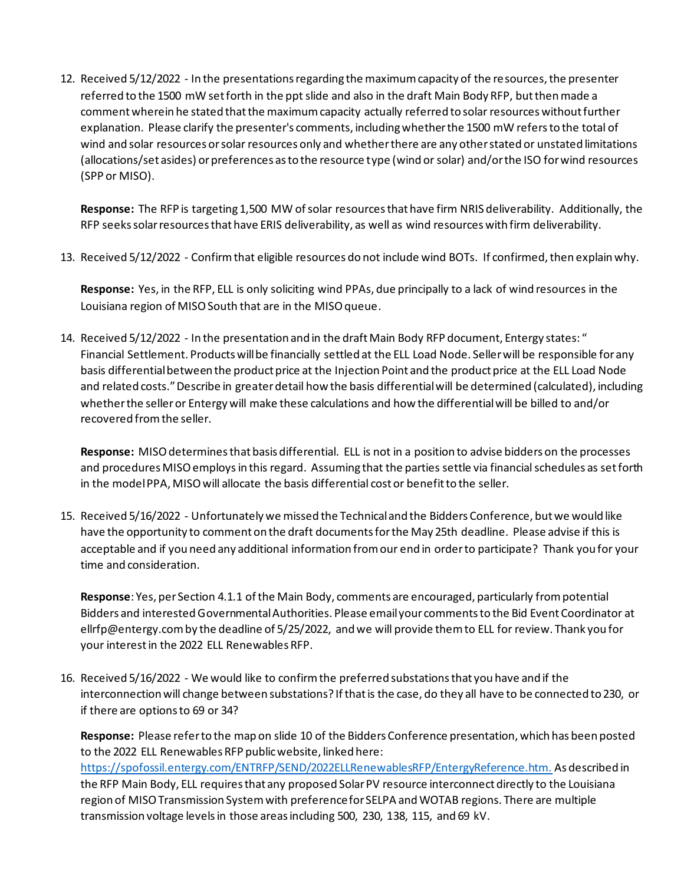12. Received 5/12/2022 - In the presentations regarding the maximum capacity of the resources, the presenter referred to the 1500 mW set forth in the ppt slide and also in the draft Main Body RFP, but then made a comment wherein he stated that the maximum capacity actually referred to solar resources without further explanation. Please clarify the presenter's comments, including whether the 1500 mW refers to the total of wind and solar resources or solar resources only and whether there are any other stated or unstated limitations (allocations/set asides) or preferences as to the resource type (wind or solar) and/or the ISO for wind resources (SPP or MISO).

**Response:** The RFP is targeting 1,500 MW of solar resources that have firm NRIS deliverability. Additionally, the RFP seeks solar resources that have ERIS deliverability, as well as wind resources with firm deliverability.

13. Received 5/12/2022 - Confirm that eligible resources do not include wind BOTs. If confirmed, then explain why.

**Response:** Yes, in the RFP, ELL is only soliciting wind PPAs, due principally to a lack of wind resources in the Louisiana region of MISO South that are in the MISO queue.

14. Received 5/12/2022 - In the presentation and in the draft Main Body RFP document, Entergy states: " Financial Settlement. Products will be financially settled at the ELL Load Node. Seller will be responsible for any basis differential between the product price at the Injection Point and the product price at the ELL Load Node and related costs." Describe in greater detail how the basis differential will be determined (calculated), including whether the seller or Entergy will make these calculations and how the differential will be billed to and/or recovered from the seller.

**Response:** MISO determines that basis differential. ELL is not in a position to advise bidders on the processes and procedures MISO employsin this regard. Assuming that the parties settle via financial schedules as set forth in the model PPA, MISO will allocate the basis differential cost or benefit to the seller.

15. Received 5/16/2022 - Unfortunately we missed the Technical and the Bidders Conference, but we would like have the opportunity to comment on the draft documents for the May 25th deadline. Please advise if this is acceptable and if you need any additional information from our end in order to participate? Thank you for your time and consideration.

**Response**: Yes, per Section 4.1.1 of the Main Body, comments are encouraged, particularly from potential Bidders and interested Governmental Authorities. Please email your comments to the Bid Event Coordinator at ellrfp@entergy.com by the deadline of 5/25/2022, and we will provide them to ELL for review. Thank you for your interest in the 2022 ELL Renewables RFP.

16. Received 5/16/2022 - We would like to confirm the preferred substations that you have and if the interconnection will change between substations? If that is the case, do they all have to be connected to 230, or if there are options to 69 or 34?

**Response:** Please refer to the map on slide 10 of the Bidders Conference presentation, which has been posted to the 2022 ELL Renewables RFP public website, linked here:

https://spofossil.entergy.com/ENTRFP/SEND/2022ELLRenewablesRFP/EntergyReference.htm. As described in the RFP Main Body, ELL requires that any proposed Solar PV resource interconnect directly to the Louisiana region of MISO Transmission System with preference for SELPA and WOTAB regions. There are multiple transmission voltage levels in those areas including 500, 230, 138, 115, and 69 kV.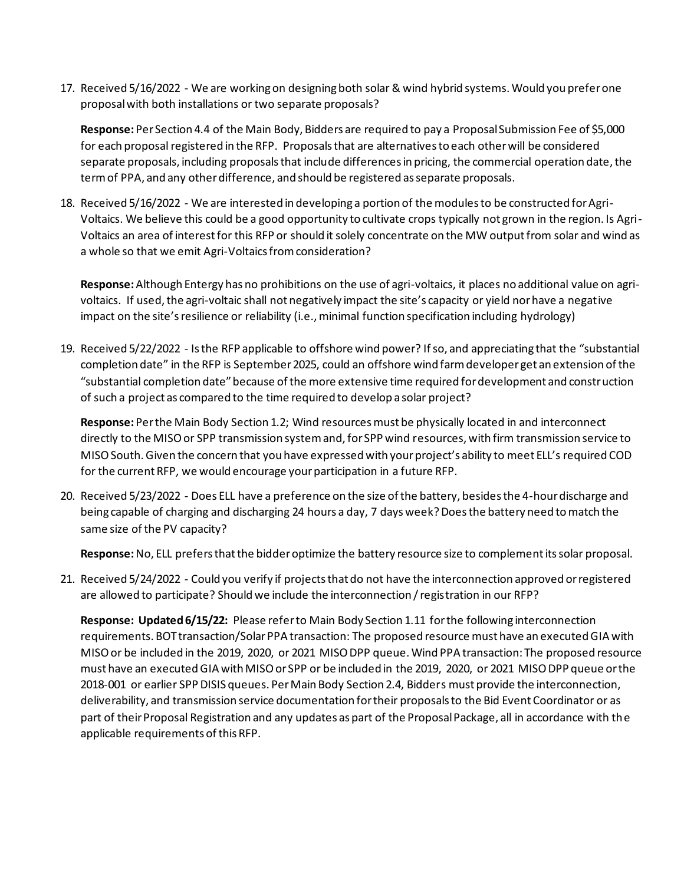17. Received 5/16/2022 - We are working on designing both solar & wind hybrid systems. Would you prefer one proposal with both installations or two separate proposals?

**Response:** Per Section 4.4 of the Main Body, Bidders are required to pay a Proposal Submission Fee of \$5,000 for each proposal registered in the RFP. Proposals that are alternatives to each other will be considered separate proposals, including proposals that include differences in pricing, the commercial operation date, the term of PPA, and any other difference, and should be registered as separate proposals.

18. Received 5/16/2022 - We are interested in developing a portion of the modules to be constructed for Agri-Voltaics. We believe this could be a good opportunity to cultivate crops typically not grown in the region. Is Agri-Voltaics an area of interest for this RFP or should it solely concentrate on the MW output from solar and wind as a whole so that we emit Agri-Voltaics from consideration?

**Response:**Although Entergy has no prohibitions on the use of agri-voltaics, it places no additional value on agrivoltaics. If used, the agri-voltaic shall not negatively impact the site's capacity or yield nor have a negative impact on the site's resilience or reliability (i.e., minimal function specification including hydrology)

19. Received 5/22/2022 - Is the RFP applicable to offshore wind power? If so, and appreciating that the "substantial completion date" in the RFP is September 2025, could an offshore wind farm developer get an extension of the "substantial completion date" because of the more extensive time required for development and construction of such a project as compared to the time required to develop a solar project?

**Response:** Per the Main Body Section 1.2; Wind resources must be physically located in and interconnect directly to the MISO or SPP transmission system and, for SPP wind resources, with firm transmission service to MISO South. Given the concern that you have expressed with your project's ability to meet ELL's required COD for the current RFP, we would encourage your participation in a future RFP.

20. Received 5/23/2022 - Does ELL have a preference on the size of the battery, besides the 4-hour discharge and being capable of charging and discharging 24 hours a day, 7 days week? Does the battery need to match the same size of the PV capacity?

**Response:**No, ELL prefers that the bidder optimize the battery resource size to complement its solar proposal.

21. Received 5/24/2022 - Could you verify if projects that do not have the interconnection approved or registered are allowed to participate? Should we include the interconnection / registration in our RFP?

**Response: Updated 6/15/22:** Please refer to Main Body Section 1.11 for the following interconnection requirements. BOT transaction/Solar PPA transaction: The proposed resource must have an executed GIA with MISO or be included in the 2019, 2020, or 2021 MISO DPP queue. Wind PPA transaction: The proposed resource must have an executed GIA with MISO or SPP or be included in the 2019, 2020, or 2021 MISO DPP queue or the 2018-001 or earlier SPP DISIS queues. Per Main Body Section 2.4, Bidders must provide the interconnection, deliverability, and transmission service documentation for their proposals to the Bid Event Coordinator or as part of their Proposal Registration and any updates as part of the Proposal Package, all in accordance with the applicable requirements of this RFP.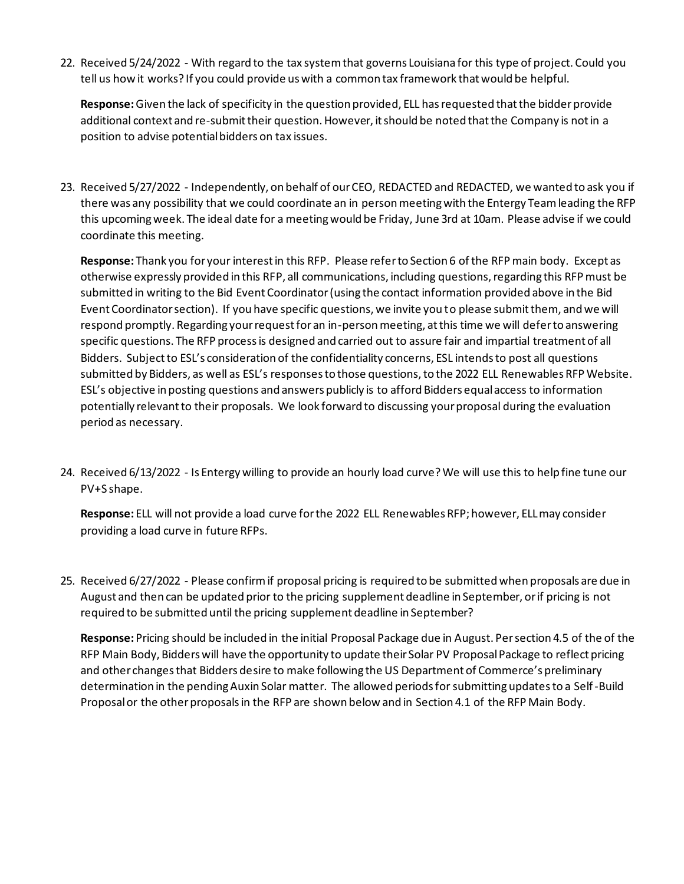22. Received 5/24/2022 - With regard to the tax system that governs Louisiana for this type of project. Could you tell us how it works? If you could provide us with a common tax framework that would be helpful.

**Response:** Given the lack of specificity in the question provided, ELL has requested that the bidder provide additional context and re-submit their question. However, it should be noted that the Company is not in a position to advise potential bidders on tax issues.

23. Received 5/27/2022 - Independently, on behalf of our CEO, REDACTED and REDACTED, we wanted to ask you if there was any possibility that we could coordinate an in person meeting with the Entergy Team leading the RFP this upcoming week. The ideal date for a meeting would be Friday, June 3rd at 10am. Please advise if we could coordinate this meeting.

**Response:** Thank you for your interest in this RFP. Please refer to Section 6 of the RFP main body. Except as otherwise expressly provided in this RFP, all communications, including questions, regarding this RFP must be submitted in writing to the Bid Event Coordinator (using the contact information provided above in the Bid Event Coordinator section). If you have specific questions, we invite you to please submit them, and we will respond promptly. Regarding your request for an in-person meeting, at this time we will defer to answering specific questions. The RFP process is designed and carried out to assure fair and impartial treatment of all Bidders. Subject to ESL's consideration of the confidentiality concerns, ESL intends to post all questions submitted by Bidders, as well as ESL's responses to those questions, to the 2022 ELL Renewables RFP Website. ESL's objective in posting questions and answers publicly is to afford Bidders equal access to information potentially relevant to their proposals. We look forward to discussing your proposal during the evaluation period as necessary.

24. Received 6/13/2022 - Is Entergy willing to provide an hourly load curve? We will use this to help fine tune our PV+S shape.

**Response:** ELL will not provide a load curve for the 2022 ELL Renewables RFP; however, ELL may consider providing a load curve in future RFPs.

25. Received 6/27/2022 - Please confirm if proposal pricing is required to be submitted when proposals are due in August and then can be updated prior to the pricing supplement deadline in September, or if pricing is not required to be submitted until the pricing supplement deadline in September?

**Response:** Pricing should be included in the initial Proposal Package due in August. Per section 4.5 of the of the RFP Main Body, Bidders will have the opportunity to update their Solar PV Proposal Package to reflect pricing and other changes that Bidders desire to make following the US Department of Commerce's preliminary determination in the pending Auxin Solar matter. The allowed periods for submitting updates to a Self-Build Proposal or the other proposals in the RFP are shown below and in Section 4.1 of the RFP Main Body.